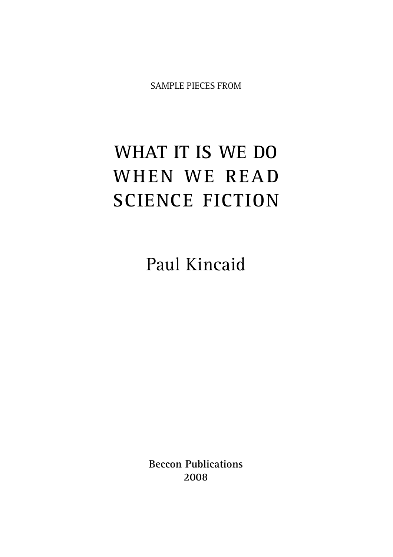SAMPLE PIECES FROM

## **WHAT IT IS WE DO WHEN WE READ SCIENCE FICTION**

Paul Kincaid

**Beccon Publications 2008**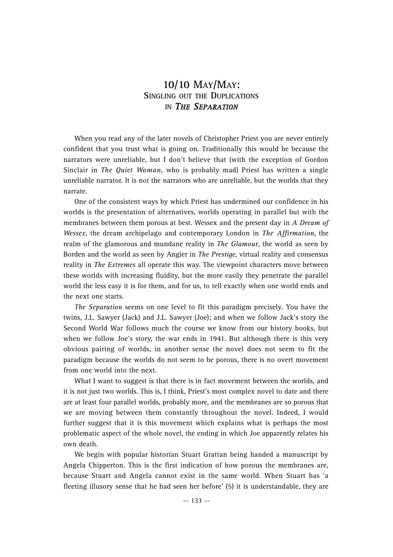## **10/10 MAY/MAY: SINGLING OUT THE DUPLICATIONS IN** *THE SEPARATION*

When you read any of the later novels of Christopher Priest you are never entirely confident that you trust what is going on. Traditionally this would be because the narrators were unreliable, but I don't believe that (with the exception of Gordon Sinclair in *The Quiet Woman*, who is probably mad) Priest has written a single unreliable narrator. It is not the narrators who are unreliable, but the worlds that they narrate.

One of the consistent ways by which Priest has undermined our confidence in his worlds is the presentation of alternatives, worlds operating in parallel but with the membranes between them porous at best. Wessex and the present day in *A Dream of Wessex*, the dream archipelago and contemporary London in *The Affirmation*, the realm of the glamorous and mundane reality in *The Glamour*, the world as seen by Borden and the world as seen by Angier in *The Prestige*, virtual reality and consensus reality in *The Extremes* all operate this way. The viewpoint characters move between these worlds with increasing fluidity, but the more easily they penetrate the parallel world the less easy it is for them, and for us, to tell exactly when one world ends and the next one starts.

*The Separation* seems on one level to fit this paradigm precisely. You have the twins, J.L. Sawyer (Jack) and J.L. Sawyer (Joe); and when we follow Jack's story the Second World War follows much the course we know from our history books, but when we follow Joe's story, the war ends in 1941. But although there is this very obvious pairing of worlds, in another sense the novel does not seem to fit the paradigm because the worlds do not seem to be porous, there is no overt movement from one world into the next.

What I want to suggest is that there is in fact movement between the worlds, and it is not just two worlds. This is, I think, Priest's most complex novel to date and there are at least four parallel worlds, probably more, and the membranes are so porous that we are moving between them constantly throughout the novel. Indeed, I would further suggest that it is this movement which explains what is perhaps the most problematic aspect of the whole novel, the ending in which Joe apparently relates his own death.

We begin with popular historian Stuart Grattan being handed a manuscript by Angela Chipperton. This is the first indication of how porous the membranes are, because Stuart and Angela cannot exist in the same world. When Stuart has 'a fleeting illusory sense that he had seen her before' (5) it is understandable, they are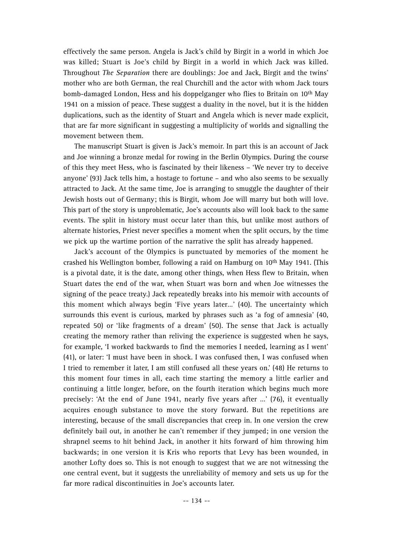effectively the same person. Angela is Jack's child by Birgit in a world in which Joe was killed; Stuart is Joe's child by Birgit in a world in which Jack was killed. Throughout *The Separation* there are doublings: Joe and Jack, Birgit and the twins' mother who are both German, the real Churchill and the actor with whom Jack tours bomb-damaged London, Hess and his doppelganger who flies to Britain on 10<sup>th</sup> May 1941 on a mission of peace. These suggest a duality in the novel, but it is the hidden duplications, such as the identity of Stuart and Angela which is never made explicit, that are far more significant in suggesting a multiplicity of worlds and signalling the movement between them.

The manuscript Stuart is given is Jack's memoir. In part this is an account of Jack and Joe winning a bronze medal for rowing in the Berlin Olympics. During the course of this they meet Hess, who is fascinated by their likeness – 'We never try to deceive anyone' (93) Jack tells him, a hostage to fortune – and who also seems to be sexually attracted to Jack. At the same time, Joe is arranging to smuggle the daughter of their Jewish hosts out of Germany; this is Birgit, whom Joe will marry but both will love. This part of the story is unproblematic, Joe's accounts also will look back to the same events. The split in history must occur later than this, but unlike most authors of alternate histories, Priest never specifies a moment when the split occurs, by the time we pick up the wartime portion of the narrative the split has already happened.

Jack's account of the Olympics is punctuated by memories of the moment he crashed his Wellington bomber, following a raid on Hamburg on 10th May 1941. (This is a pivotal date, it is the date, among other things, when Hess flew to Britain, when Stuart dates the end of the war, when Stuart was born and when Joe witnesses the signing of the peace treaty.) Jack repeatedly breaks into his memoir with accounts of this moment which always begin 'Five years later…' (40). The uncertainty which surrounds this event is curious, marked by phrases such as 'a fog of amnesia' (40, repeated 50) or 'like fragments of a dream' (50). The sense that Jack is actually creating the memory rather than reliving the experience is suggested when he says, for example, 'I worked backwards to find the memories I needed, learning as I went' (41), or later: 'I must have been in shock. I was confused then, I was confused when I tried to remember it later, I am still confused all these years on.' (48) He returns to this moment four times in all, each time starting the memory a little earlier and continuing a little longer, before, on the fourth iteration which begins much more precisely: 'At the end of June 1941, nearly five years after …' (76), it eventually acquires enough substance to move the story forward. But the repetitions are interesting, because of the small discrepancies that creep in. In one version the crew definitely bail out, in another he can't remember if they jumped; in one version the shrapnel seems to hit behind Jack, in another it hits forward of him throwing him backwards; in one version it is Kris who reports that Levy has been wounded, in another Lofty does so. This is not enough to suggest that we are not witnessing the one central event, but it suggests the unreliability of memory and sets us up for the far more radical discontinuities in Joe's accounts later.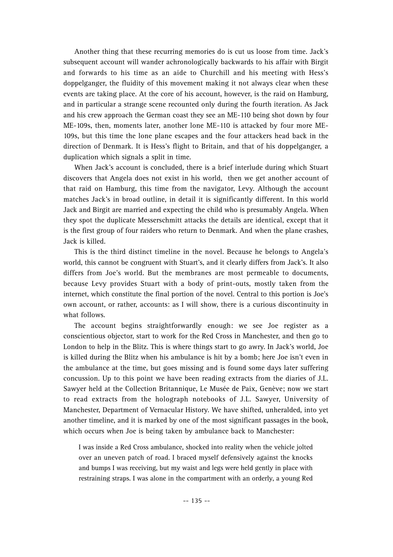Another thing that these recurring memories do is cut us loose from time. Jack's subsequent account will wander achronologically backwards to his affair with Birgit and forwards to his time as an aide to Churchill and his meeting with Hess's doppelganger, the fluidity of this movement making it not always clear when these events are taking place. At the core of his account, however, is the raid on Hamburg, and in particular a strange scene recounted only during the fourth iteration. As Jack and his crew approach the German coast they see an ME-110 being shot down by four ME-109s, then, moments later, another lone ME-110 is attacked by four more ME-109s, but this time the lone plane escapes and the four attackers head back in the direction of Denmark. It is Hess's flight to Britain, and that of his doppelganger, a duplication which signals a split in time.

When Jack's account is concluded, there is a brief interlude during which Stuart discovers that Angela does not exist in his world, then we get another account of that raid on Hamburg, this time from the navigator, Levy. Although the account matches Jack's in broad outline, in detail it is significantly different. In this world Jack and Birgit are married and expecting the child who is presumably Angela. When they spot the duplicate Messerschmitt attacks the details are identical, except that it is the first group of four raiders who return to Denmark. And when the plane crashes, Jack is killed.

This is the third distinct timeline in the novel. Because he belongs to Angela's world, this cannot be congruent with Stuart's, and it clearly differs from Jack's. It also differs from Joe's world. But the membranes are most permeable to documents, because Levy provides Stuart with a body of print-outs, mostly taken from the internet, which constitute the final portion of the novel. Central to this portion is Joe's own account, or rather, accounts: as I will show, there is a curious discontinuity in what follows.

The account begins straightforwardly enough: we see Joe register as a conscientious objector, start to work for the Red Cross in Manchester, and then go to London to help in the Blitz. This is where things start to go awry. In Jack's world, Joe is killed during the Blitz when his ambulance is hit by a bomb; here Joe isn't even in the ambulance at the time, but goes missing and is found some days later suffering concussion. Up to this point we have been reading extracts from the diaries of J.L. Sawyer held at the Collection Britannique, Le Musée de Paix, Genève; now we start to read extracts from the holograph notebooks of J.L. Sawyer, University of Manchester, Department of Vernacular History. We have shifted, unheralded, into yet another timeline, and it is marked by one of the most significant passages in the book, which occurs when Joe is being taken by ambulance back to Manchester:

I was inside a Red Cross ambulance, shocked into reality when the vehicle jolted over an uneven patch of road. I braced myself defensively against the knocks and bumps I was receiving, but my waist and legs were held gently in place with restraining straps. I was alone in the compartment with an orderly, a young Red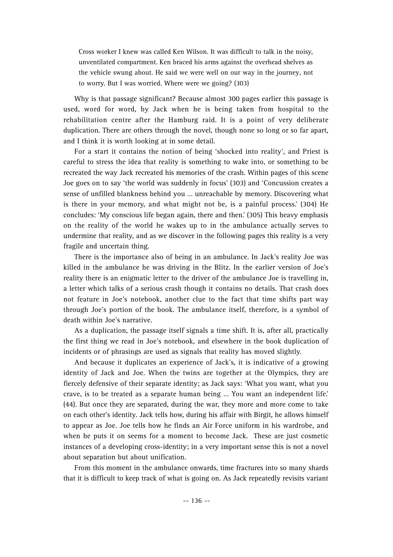Cross worker I knew was called Ken Wilson. It was difficult to talk in the noisy, unventilated compartment. Ken braced his arms against the overhead shelves as the vehicle swung about. He said we were well on our way in the journey, not to worry. But I was worried. Where were we going? (303)

Why is that passage significant? Because almost 300 pages earlier this passage is used, word for word, by Jack when he is being taken from hospital to the rehabilitation centre after the Hamburg raid. It is a point of very deliberate duplication. There are others through the novel, though none so long or so far apart, and I think it is worth looking at in some detail.

For a start it contains the notion of being 'shocked into reality', and Priest is careful to stress the idea that reality is something to wake into, or something to be recreated the way Jack recreated his memories of the crash. Within pages of this scene Joe goes on to say 'the world was suddenly in focus' (303) and 'Concussion creates a sense of unfilled blankness behind you … unreachable by memory. Discovering what is there in your memory, and what might not be, is a painful process.' (304) He concludes: 'My conscious life began again, there and then.' (305) This heavy emphasis on the reality of the world he wakes up to in the ambulance actually serves to undermine that reality, and as we discover in the following pages this reality is a very fragile and uncertain thing.

There is the importance also of being in an ambulance. In Jack's reality Joe was killed in the ambulance he was driving in the Blitz. In the earlier version of Joe's reality there is an enigmatic letter to the driver of the ambulance Joe is travelling in, a letter which talks of a serious crash though it contains no details. That crash does not feature in Joe's notebook, another clue to the fact that time shifts part way through Joe's portion of the book. The ambulance itself, therefore, is a symbol of death within Joe's narrative.

As a duplication, the passage itself signals a time shift. It is, after all, practically the first thing we read in Joe's notebook, and elsewhere in the book duplication of incidents or of phrasings are used as signals that reality has moved slightly.

And because it duplicates an experience of Jack's, it is indicative of a growing identity of Jack and Joe. When the twins are together at the Olympics, they are fiercely defensive of their separate identity; as Jack says: 'What you want, what you crave, is to be treated as a separate human being … You want an independent life.' (44). But once they are separated, during the war, they more and more come to take on each other's identity. Jack tells how, during his affair with Birgit, he allows himself to appear as Joe. Joe tells how he finds an Air Force uniform in his wardrobe, and when he puts it on seems for a moment to become Jack. These are just cosmetic instances of a developing cross-identity; in a very important sense this is not a novel about separation but about unification.

From this moment in the ambulance onwards, time fractures into so many shards that it is difficult to keep track of what is going on. As Jack repeatedly revisits variant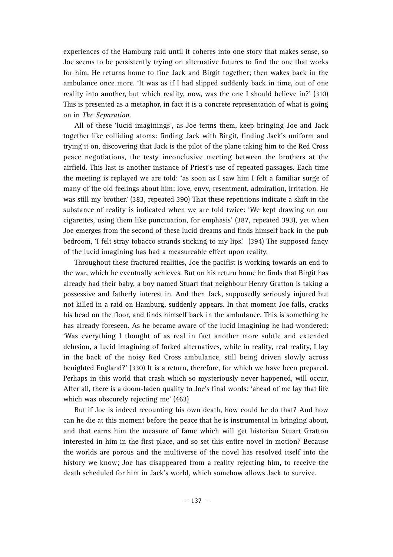experiences of the Hamburg raid until it coheres into one story that makes sense, so Joe seems to be persistently trying on alternative futures to find the one that works for him. He returns home to fine Jack and Birgit together; then wakes back in the ambulance once more. 'It was as if I had slipped suddenly back in time, out of one reality into another, but which reality, now, was the one I should believe in?' (310) This is presented as a metaphor, in fact it is a concrete representation of what is going on in *The Separation*.

All of these 'lucid imaginings', as Joe terms them, keep bringing Joe and Jack together like colliding atoms: finding Jack with Birgit, finding Jack's uniform and trying it on, discovering that Jack is the pilot of the plane taking him to the Red Cross peace negotiations, the testy inconclusive meeting between the brothers at the airfield. This last is another instance of Priest's use of repeated passages. Each time the meeting is replayed we are told: 'as soon as I saw him I felt a familiar surge of many of the old feelings about him: love, envy, resentment, admiration, irritation. He was still my brother.' (383, repeated 390) That these repetitions indicate a shift in the substance of reality is indicated when we are told twice: 'We kept drawing on our cigarettes, using them like punctuation, for emphasis' (387, repeated 393), yet when Joe emerges from the second of these lucid dreams and finds himself back in the pub bedroom, 'I felt stray tobacco strands sticking to my lips.' (394) The supposed fancy of the lucid imagining has had a measureable effect upon reality.

Throughout these fractured realities, Joe the pacifist is working towards an end to the war, which he eventually achieves. But on his return home he finds that Birgit has already had their baby, a boy named Stuart that neighbour Henry Gratton is taking a possessive and fatherly interest in. And then Jack, supposedly seriously injured but not killed in a raid on Hamburg, suddenly appears. In that moment Joe falls, cracks his head on the floor, and finds himself back in the ambulance. This is something he has already foreseen. As he became aware of the lucid imagining he had wondered: 'Was everything I thought of as real in fact another more subtle and extended delusion, a lucid imagining of forked alternatives, while in reality, real reality, I lay in the back of the noisy Red Cross ambulance, still being driven slowly across benighted England?' (330) It is a return, therefore, for which we have been prepared. Perhaps in this world that crash which so mysteriously never happened, will occur. After all, there is a doom-laden quality to Joe's final words: 'ahead of me lay that life which was obscurely rejecting me' (463)

But if Joe is indeed recounting his own death, how could he do that? And how can he die at this moment before the peace that he is instrumental in bringing about, and that earns him the measure of fame which will get historian Stuart Gratton interested in him in the first place, and so set this entire novel in motion? Because the worlds are porous and the multiverse of the novel has resolved itself into the history we know; Joe has disappeared from a reality rejecting him, to receive the death scheduled for him in Jack's world, which somehow allows Jack to survive.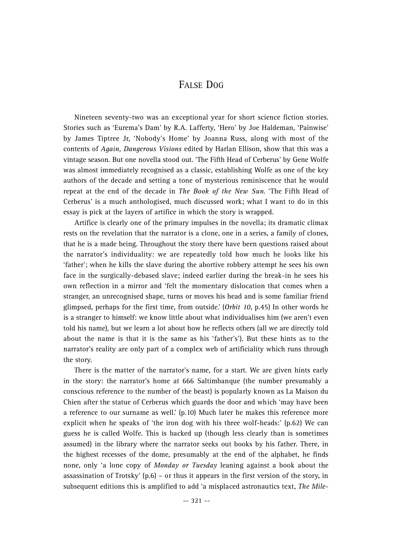## FALSE DOG

Nineteen seventy-two was an exceptional year for short science fiction stories. Stories such as 'Eurema's Dam' by R.A. Lafferty, 'Hero' by Joe Haldeman, 'Painwise' by James Tiptree Jr, 'Nobody's Home' by Joanna Russ, along with most of the contents of *Again, Dangerous Visions* edited by Harlan Ellison, show that this was a vintage season. But one novella stood out. 'The Fifth Head of Cerberus' by Gene Wolfe was almost immediately recognised as a classic, establishing Wolfe as one of the key authors of the decade and setting a tone of mysterious reminiscence that he would repeat at the end of the decade in *The Book of the New Sun*. 'The Fifth Head of Cerberus' is a much anthologised, much discussed work; what I want to do in this essay is pick at the layers of artifice in which the story is wrapped.

Artifice is clearly one of the primary impulses in the novella; its dramatic climax rests on the revelation that the narrator is a clone, one in a series, a family of clones, that he is a made being. Throughout the story there have been questions raised about the narrator's individuality: we are repeatedly told how much he looks like his 'father'; when he kills the slave during the abortive robbery attempt he sees his own face in the surgically-debased slave; indeed earlier during the break-in he sees his own reflection in a mirror and 'felt the momentary dislocation that comes when a stranger, an unrecognised shape, turns or moves his head and is some familiar friend glimpsed, perhaps for the first time, from outside.' (*Orbit 10*, p.45) In other words he is a stranger to himself: we know little about what individualises him (we aren't even told his name), but we learn a lot about how he reflects others (all we are directly told about the name is that it is the same as his 'father's'). But these hints as to the narrator's reality are only part of a complex web of artificiality which runs through the story.

There is the matter of the narrator's name, for a start. We are given hints early in the story: the narrator's home at 666 Saltimbanque (the number presumably a conscious reference to the number of the beast) is popularly known as La Maison du Chien after the statue of Cerberus which guards the door and which 'may have been a reference to our surname as well.' (p.10) Much later he makes this reference more explicit when he speaks of 'the iron dog with his three wolf-heads:' (p.62) We can guess he is called Wolfe. This is backed up (though less clearly than is sometimes assumed) in the library where the narrator seeks out books by his father. There, in the highest recesses of the dome, presumably at the end of the alphabet, he finds none, only 'a lone copy of *Monday or Tuesday* leaning against a book about the assassination of Trotsky' (p.6) – or thus it appears in the first version of the story, in subsequent editions this is amplified to add 'a misplaced astronautics text, *The Mile-*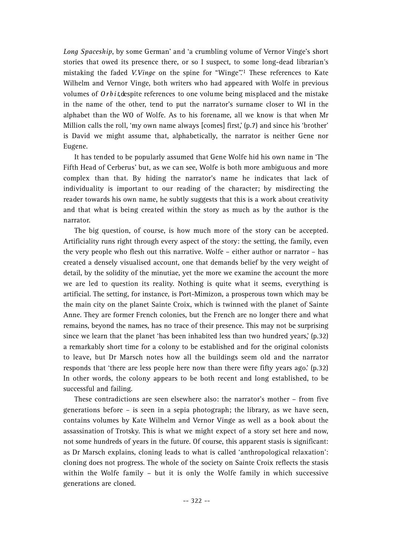*Long Spaceship*, by some German' and 'a crumbling volume of Vernor Vinge's short stories that owed its presence there, or so I suspect, to some long-dead librarian's mistaking the faded V. Vinge on the spine for "Winge".<sup>1</sup> These references to Kate Wilhelm and Vernor Vinge, both writers who had appeared with Wolfe in previous volumes of *Orbit*, despite references to one volume being misplaced and the mistake in the name of the other, tend to put the narrator's surname closer to WI in the alphabet than the WO of Wolfe. As to his forename, all we know is that when Mr Million calls the roll, 'my own name always [comes] first,' (p.7) and since his 'brother' is David we might assume that, alphabetically, the narrator is neither Gene nor Eugene.

It has tended to be popularly assumed that Gene Wolfe hid his own name in 'The Fifth Head of Cerberus' but, as we can see, Wolfe is both more ambiguous and more complex than that. By hiding the narrator's name he indicates that lack of individuality is important to our reading of the character; by misdirecting the reader towards his own name, he subtly suggests that this is a work about creativity and that what is being created within the story as much as by the author is the narrator.

The big question, of course, is how much more of the story can be accepted. Artificiality runs right through every aspect of the story: the setting, the family, even the very people who flesh out this narrative. Wolfe – either author or narrator – has created a densely visualised account, one that demands belief by the very weight of detail, by the solidity of the minutiae, yet the more we examine the account the more we are led to question its reality. Nothing is quite what it seems, everything is artificial. The setting, for instance, is Port-Mimizon, a prosperous town which may be the main city on the planet Sainte Croix, which is twinned with the planet of Sainte Anne. They are former French colonies, but the French are no longer there and what remains, beyond the names, has no trace of their presence. This may not be surprising since we learn that the planet 'has been inhabited less than two hundred years,' (p.32) a remarkably short time for a colony to be established and for the original colonists to leave, but Dr Marsch notes how all the buildings seem old and the narrator responds that 'there are less people here now than there were fifty years ago.' (p.32) In other words, the colony appears to be both recent and long established, to be successful and failing.

These contradictions are seen elsewhere also: the narrator's mother – from five generations before – is seen in a sepia photograph; the library, as we have seen, contains volumes by Kate Wilhelm and Vernor Vinge as well as a book about the assassination of Trotsky. This is what we might expect of a story set here and now, not some hundreds of years in the future. Of course, this apparent stasis is significant: as Dr Marsch explains, cloning leads to what is called 'anthropological relaxation': cloning does not progress. The whole of the society on Sainte Croix reflects the stasis within the Wolfe family – but it is only the Wolfe family in which successive generations are cloned.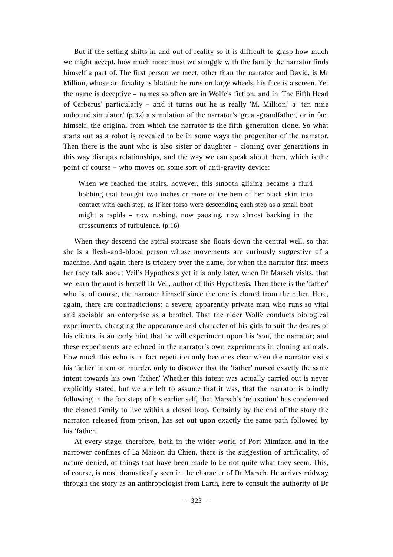But if the setting shifts in and out of reality so it is difficult to grasp how much we might accept, how much more must we struggle with the family the narrator finds himself a part of. The first person we meet, other than the narrator and David, is Mr Million, whose artificiality is blatant: he runs on large wheels, his face is a screen. Yet the name is deceptive – names so often are in Wolfe's fiction, and in 'The Fifth Head of Cerberus' particularly – and it turns out he is really 'M. Million,' a 'ten nine unbound simulator,' (p.32) a simulation of the narrator's 'great-grandfather,' or in fact himself, the original from which the narrator is the fifth-generation clone. So what starts out as a robot is revealed to be in some ways the progenitor of the narrator. Then there is the aunt who is also sister or daughter – cloning over generations in this way disrupts relationships, and the way we can speak about them, which is the point of course – who moves on some sort of anti-gravity device:

When we reached the stairs, however, this smooth gliding became a fluid bobbing that brought two inches or more of the hem of her black skirt into contact with each step, as if her torso were descending each step as a small boat might a rapids – now rushing, now pausing, now almost backing in the crosscurrents of turbulence. (p.16)

When they descend the spiral staircase she floats down the central well, so that she is a flesh-and-blood person whose movements are curiously suggestive of a machine. And again there is trickery over the name, for when the narrator first meets her they talk about Veil's Hypothesis yet it is only later, when Dr Marsch visits, that we learn the aunt is herself Dr Veil, author of this Hypothesis. Then there is the 'father' who is, of course, the narrator himself since the one is cloned from the other. Here, again, there are contradictions: a severe, apparently private man who runs so vital and sociable an enterprise as a brothel. That the elder Wolfe conducts biological experiments, changing the appearance and character of his girls to suit the desires of his clients, is an early hint that he will experiment upon his 'son,' the narrator; and these experiments are echoed in the narrator's own experiments in cloning animals. How much this echo is in fact repetition only becomes clear when the narrator visits his 'father' intent on murder, only to discover that the 'father' nursed exactly the same intent towards his own 'father.' Whether this intent was actually carried out is never explicitly stated, but we are left to assume that it was, that the narrator is blindly following in the footsteps of his earlier self, that Marsch's 'relaxation' has condemned the cloned family to live within a closed loop. Certainly by the end of the story the narrator, released from prison, has set out upon exactly the same path followed by his 'father.'

At every stage, therefore, both in the wider world of Port-Mimizon and in the narrower confines of La Maison du Chien, there is the suggestion of artificiality, of nature denied, of things that have been made to be not quite what they seem. This, of course, is most dramatically seen in the character of Dr Marsch. He arrives midway through the story as an anthropologist from Earth, here to consult the authority of Dr